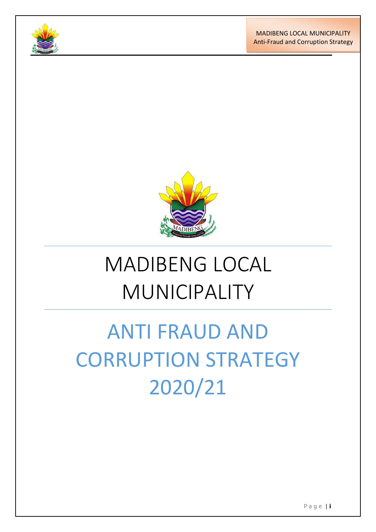





# MADIBENG LOCAL MUNICIPALITY

# ANTI FRAUD AND CORRUPTION STRATEGY 2020/21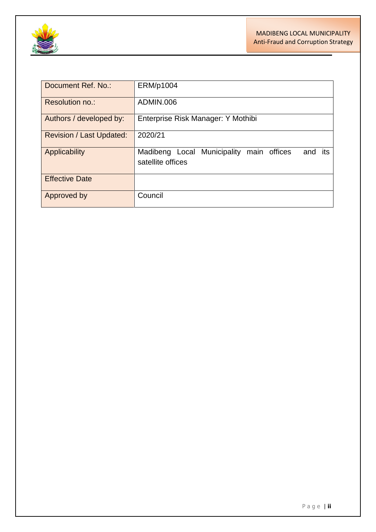

| Document Ref. No.:       | ERM/p1004                                                                   |
|--------------------------|-----------------------------------------------------------------------------|
| Resolution no.:          | ADMIN.006                                                                   |
| Authors / developed by:  | Enterprise Risk Manager: Y Mothibi                                          |
| Revision / Last Updated: | 2020/21                                                                     |
| Applicability            | Madibeng Local Municipality<br>main offices<br>and its<br>satellite offices |
| <b>Effective Date</b>    |                                                                             |
| <b>Approved by</b>       | Council                                                                     |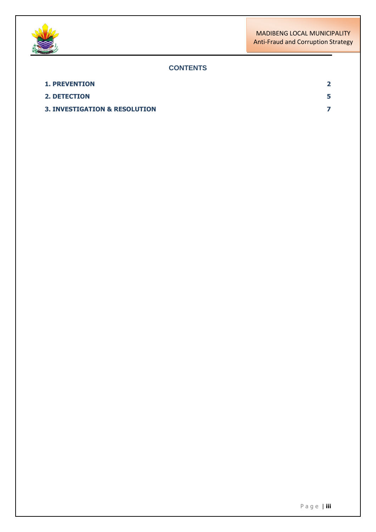



## **CONTENTS**

| <b>1. PREVENTION</b>                     | $\mathbf{z}$ |
|------------------------------------------|--------------|
| <b>2. DETECTION</b>                      |              |
| <b>3. INVESTIGATION &amp; RESOLUTION</b> |              |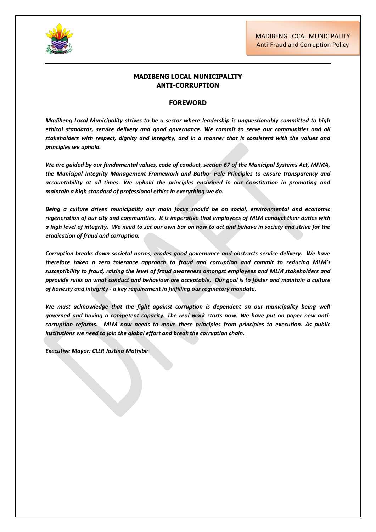

#### **MADIBENG LOCAL MUNICIPALITY ANTI-CORRUPTION**

#### **FOREWORD**

*Madibeng Local Municipality strives to be a sector where leadership is unquestionably committed to high ethical standards, service delivery and good governance. We commit to serve our communities and all stakeholders with respect, dignity and integrity, and in a manner that is consistent with the values and principles we uphold.*

*We are guided by our fundamental values, code of conduct, section 67 of the Municipal Systems Act, MFMA, the Municipal Integrity Management Framework and Batho- Pele Principles to ensure transparency and accountability at all times. We uphold the principles enshrined in our Constitution in promoting and maintain a high standard of professional ethics in everything we do.* 

*Being a culture driven municipality our main focus should be on social, environmental and economic regeneration of our city and communities. It is imperative that employees of MLM conduct their duties with a high level of integrity. We need to set our own bar on how to act and behave in society and strive for the eradication of fraud and corruption.* 

*Corruption breaks down societal norms, erodes good governance and obstructs service delivery. We have therefore taken a zero tolerance approach to fraud and corruption and commit to reducing MLM's susceptibility to fraud, raising the level of fraud awareness amongst employees and MLM stakeholders and pprovide rules on what conduct and behaviour are acceptable. Our goal is to foster and maintain a culture of honesty and integrity - a key requirement in fulfilling our regulatory mandate.*

We must acknowledge that the fight against corruption is dependent on our municipality being well *governed and having a competent capacity. The real work starts now. We have put on paper new anticorruption reforms. MLM now needs to move these principles from principles to execution. As public institutions we need to join the global effort and break the corruption chain.*

*Executive Mayor: CLLR Jostina Mothibe*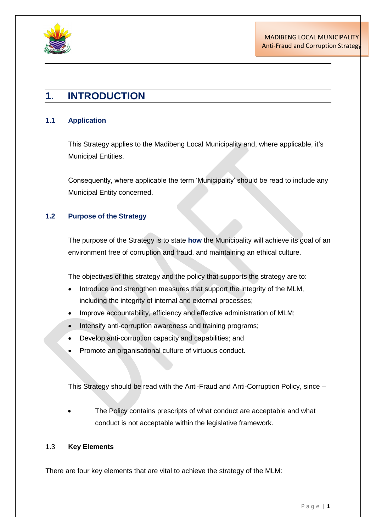

## **1. INTRODUCTION**

### **1.1 Application**

This Strategy applies to the Madibeng Local Municipality and, where applicable, it's Municipal Entities.

Consequently, where applicable the term 'Municipality' should be read to include any Municipal Entity concerned.

## **1.2 Purpose of the Strategy**

The purpose of the Strategy is to state **how** the Municipality will achieve its goal of an environment free of corruption and fraud, and maintaining an ethical culture.

The objectives of this strategy and the policy that supports the strategy are to:

- Introduce and strengthen measures that support the integrity of the MLM, including the integrity of internal and external processes;
- Improve accountability, efficiency and effective administration of MLM;
- Intensify anti-corruption awareness and training programs;
- Develop anti-corruption capacity and capabilities; and
- Promote an organisational culture of virtuous conduct.

This Strategy should be read with the Anti-Fraud and Anti-Corruption Policy, since –

 The Policy contains prescripts of what conduct are acceptable and what conduct is not acceptable within the legislative framework.

### 1.3 **Key Elements**

There are four key elements that are vital to achieve the strategy of the MLM: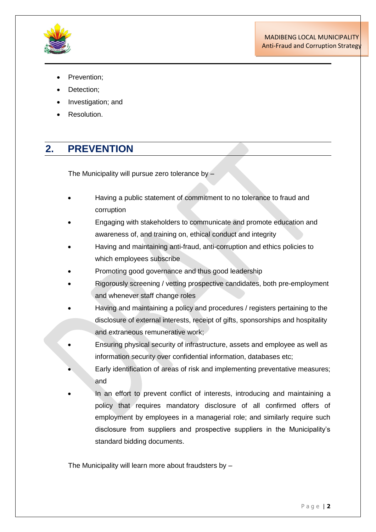

- Prevention;
- Detection;
- Investigation; and
- Resolution.

## **2. PREVENTION**

The Municipality will pursue zero tolerance by –

- Having a public statement of commitment to no tolerance to fraud and corruption
- Engaging with stakeholders to communicate and promote education and awareness of, and training on, ethical conduct and integrity
- Having and maintaining anti-fraud, anti-corruption and ethics policies to which employees subscribe
- Promoting good governance and thus good leadership
- Rigorously screening / vetting prospective candidates, both pre-employment and whenever staff change roles
- Having and maintaining a policy and procedures / registers pertaining to the disclosure of external interests, receipt of gifts, sponsorships and hospitality and extraneous remunerative work;
- Ensuring physical security of infrastructure, assets and employee as well as information security over confidential information, databases etc;
- Early identification of areas of risk and implementing preventative measures; and
- In an effort to prevent conflict of interests, introducing and maintaining a policy that requires mandatory disclosure of all confirmed offers of employment by employees in a managerial role; and similarly require such disclosure from suppliers and prospective suppliers in the Municipality's standard bidding documents.

The Municipality will learn more about fraudsters by –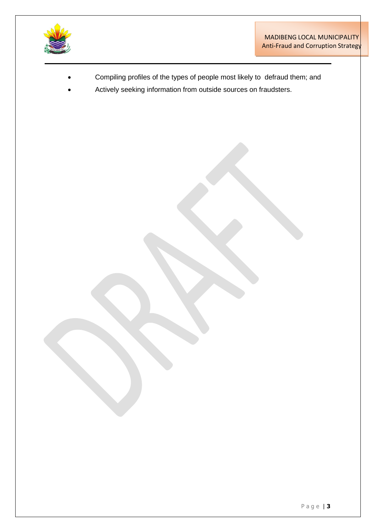

- Compiling profiles of the types of people most likely to defraud them; and
- Actively seeking information from outside sources on fraudsters.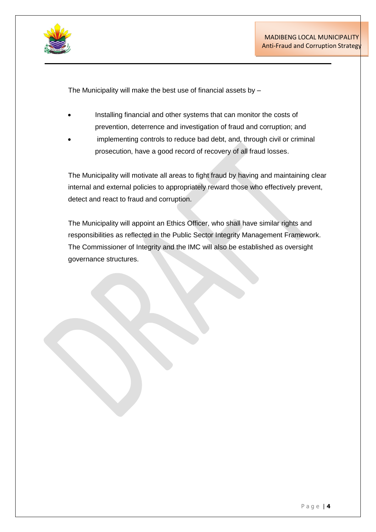

The Municipality will make the best use of financial assets by –

- Installing financial and other systems that can monitor the costs of prevention, deterrence and investigation of fraud and corruption; and
- implementing controls to reduce bad debt, and, through civil or criminal prosecution, have a good record of recovery of all fraud losses.

The Municipality will motivate all areas to fight fraud by having and maintaining clear internal and external policies to appropriately reward those who effectively prevent, detect and react to fraud and corruption.

The Municipality will appoint an Ethics Officer, who shall have similar rights and responsibilities as reflected in the Public Sector Integrity Management Framework. The Commissioner of Integrity and the IMC will also be established as oversight governance structures.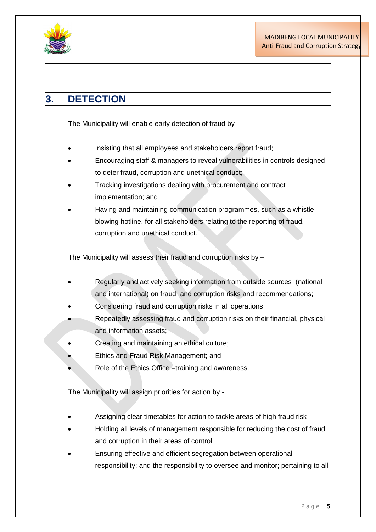

# **3. DETECTION**

The Municipality will enable early detection of fraud by –

- Insisting that all employees and stakeholders report fraud;
- Encouraging staff & managers to reveal vulnerabilities in controls designed to deter fraud, corruption and unethical conduct;
- Tracking investigations dealing with procurement and contract implementation; and
- Having and maintaining communication programmes, such as a whistle blowing hotline, for all stakeholders relating to the reporting of fraud, corruption and unethical conduct.

The Municipality will assess their fraud and corruption risks by –

- Regularly and actively seeking information from outside sources (national and international) on fraud and corruption risks and recommendations;
- Considering fraud and corruption risks in all operations
- Repeatedly assessing fraud and corruption risks on their financial, physical and information assets;
- Creating and maintaining an ethical culture;
- Ethics and Fraud Risk Management; and
- Role of the Ethics Office –training and awareness.

The Municipality will assign priorities for action by -

- Assigning clear timetables for action to tackle areas of high fraud risk
- Holding all levels of management responsible for reducing the cost of fraud and corruption in their areas of control
- Ensuring effective and efficient segregation between operational responsibility; and the responsibility to oversee and monitor; pertaining to all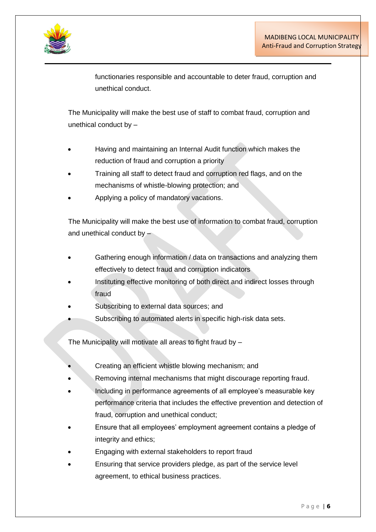

functionaries responsible and accountable to deter fraud, corruption and unethical conduct.

The Municipality will make the best use of staff to combat fraud, corruption and unethical conduct by –

- Having and maintaining an Internal Audit function which makes the reduction of fraud and corruption a priority
- Training all staff to detect fraud and corruption red flags, and on the mechanisms of whistle-blowing protection; and
- Applying a policy of mandatory vacations.

The Municipality will make the best use of information to combat fraud, corruption and unethical conduct by –

- Gathering enough information / data on transactions and analyzing them effectively to detect fraud and corruption indicators
- Instituting effective monitoring of both direct and indirect losses through fraud
- Subscribing to external data sources; and
- Subscribing to automated alerts in specific high-risk data sets.

The Municipality will motivate all areas to fight fraud by –

- Creating an efficient whistle blowing mechanism; and
- Removing internal mechanisms that might discourage reporting fraud.
- Including in performance agreements of all employee's measurable key performance criteria that includes the effective prevention and detection of fraud, corruption and unethical conduct;
- Ensure that all employees' employment agreement contains a pledge of integrity and ethics;
- Engaging with external stakeholders to report fraud
- Ensuring that service providers pledge, as part of the service level agreement, to ethical business practices.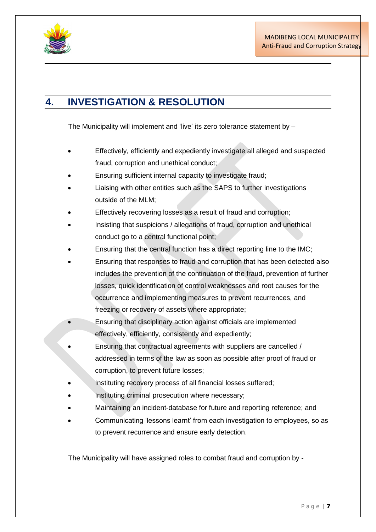

# <span id="page-10-0"></span>**4. INVESTIGATION & RESOLUTION**

The Municipality will implement and 'live' its zero tolerance statement by –

- Effectively, efficiently and expediently investigate all alleged and suspected fraud, corruption and unethical conduct;
- Ensuring sufficient internal capacity to investigate fraud;
- Liaising with other entities such as the SAPS to further investigations outside of the MLM;
- Effectively recovering losses as a result of fraud and corruption;
- Insisting that suspicions / allegations of fraud, corruption and unethical conduct go to a central functional point;
- Ensuring that the central function has a direct reporting line to the IMC;
- Ensuring that responses to fraud and corruption that has been detected also includes the prevention of the continuation of the fraud, prevention of further losses, quick identification of control weaknesses and root causes for the occurrence and implementing measures to prevent recurrences, and freezing or recovery of assets where appropriate;
- Ensuring that disciplinary action against officials are implemented effectively, efficiently, consistently and expediently;
- Ensuring that contractual agreements with suppliers are cancelled / addressed in terms of the law as soon as possible after proof of fraud or corruption, to prevent future losses;
- Instituting recovery process of all financial losses suffered;
- Instituting criminal prosecution where necessary;
- Maintaining an incident-database for future and reporting reference; and
- Communicating 'lessons learnt' from each investigation to employees, so as to prevent recurrence and ensure early detection.

The Municipality will have assigned roles to combat fraud and corruption by -